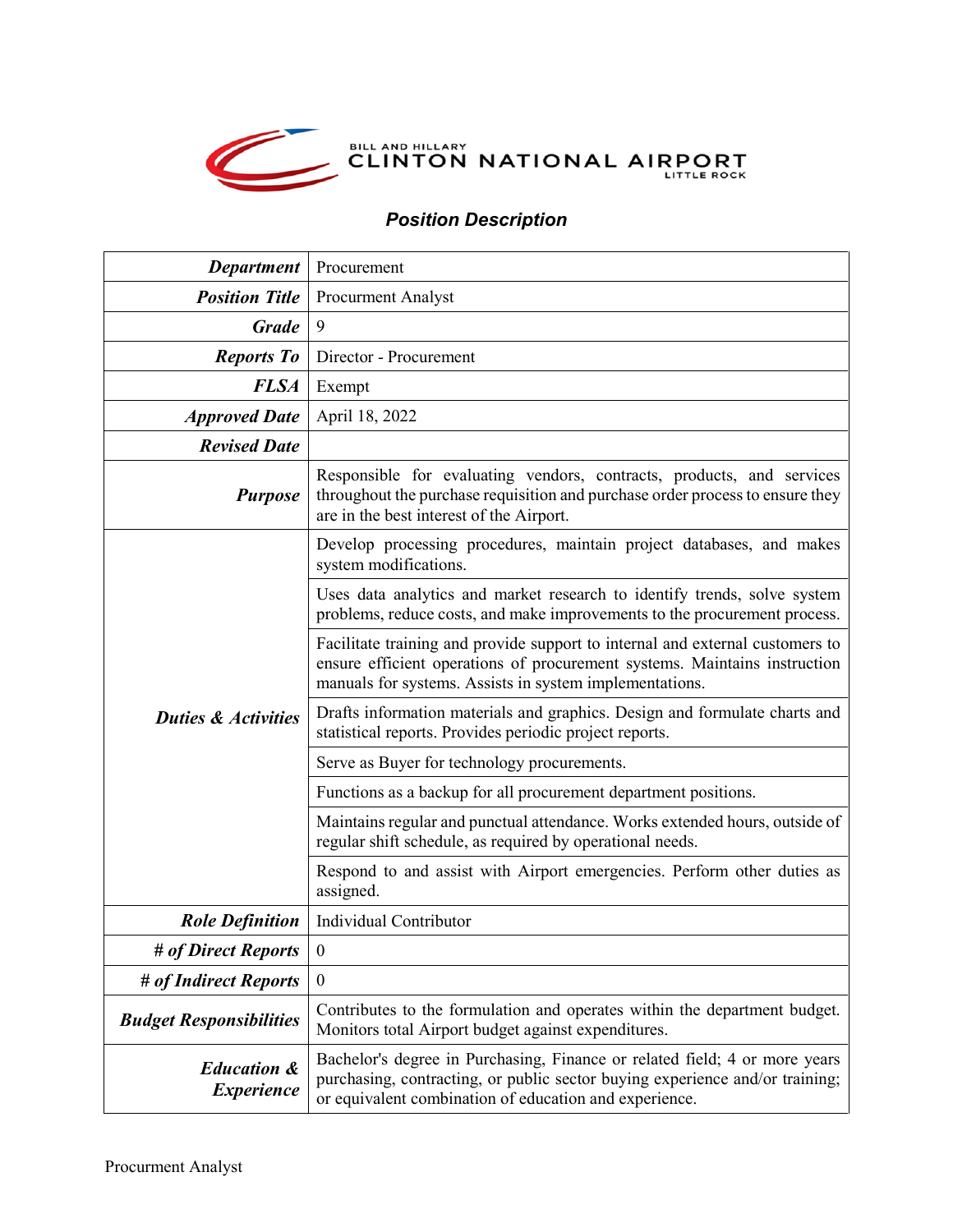

## *Position Description*

| <b>Department</b>                           | Procurement                                                                                                                                                                                                           |
|---------------------------------------------|-----------------------------------------------------------------------------------------------------------------------------------------------------------------------------------------------------------------------|
| <b>Position Title</b>                       | <b>Procurment Analyst</b>                                                                                                                                                                                             |
| <b>Grade</b>                                | 9                                                                                                                                                                                                                     |
| <b>Reports To</b>                           | Director - Procurement                                                                                                                                                                                                |
| <b>FLSA</b>                                 | Exempt                                                                                                                                                                                                                |
| <b>Approved Date</b>                        | April 18, 2022                                                                                                                                                                                                        |
| <b>Revised Date</b>                         |                                                                                                                                                                                                                       |
| <b>Purpose</b>                              | Responsible for evaluating vendors, contracts, products, and services<br>throughout the purchase requisition and purchase order process to ensure they<br>are in the best interest of the Airport.                    |
| <b>Duties &amp; Activities</b>              | Develop processing procedures, maintain project databases, and makes<br>system modifications.                                                                                                                         |
|                                             | Uses data analytics and market research to identify trends, solve system<br>problems, reduce costs, and make improvements to the procurement process.                                                                 |
|                                             | Facilitate training and provide support to internal and external customers to<br>ensure efficient operations of procurement systems. Maintains instruction<br>manuals for systems. Assists in system implementations. |
|                                             | Drafts information materials and graphics. Design and formulate charts and<br>statistical reports. Provides periodic project reports.                                                                                 |
|                                             | Serve as Buyer for technology procurements.                                                                                                                                                                           |
|                                             | Functions as a backup for all procurement department positions.                                                                                                                                                       |
|                                             | Maintains regular and punctual attendance. Works extended hours, outside of<br>regular shift schedule, as required by operational needs.                                                                              |
|                                             | Respond to and assist with Airport emergencies. Perform other duties as<br>assigned.                                                                                                                                  |
| <b>Role Definition</b>                      | Individual Contributor                                                                                                                                                                                                |
| # of Direct Reports                         | $\boldsymbol{0}$                                                                                                                                                                                                      |
| # of Indirect Reports                       | $\overline{0}$                                                                                                                                                                                                        |
| <b>Budget Responsibilities</b>              | Contributes to the formulation and operates within the department budget.<br>Monitors total Airport budget against expenditures.                                                                                      |
| <b>Education &amp;</b><br><b>Experience</b> | Bachelor's degree in Purchasing, Finance or related field; 4 or more years<br>purchasing, contracting, or public sector buying experience and/or training;<br>or equivalent combination of education and experience.  |